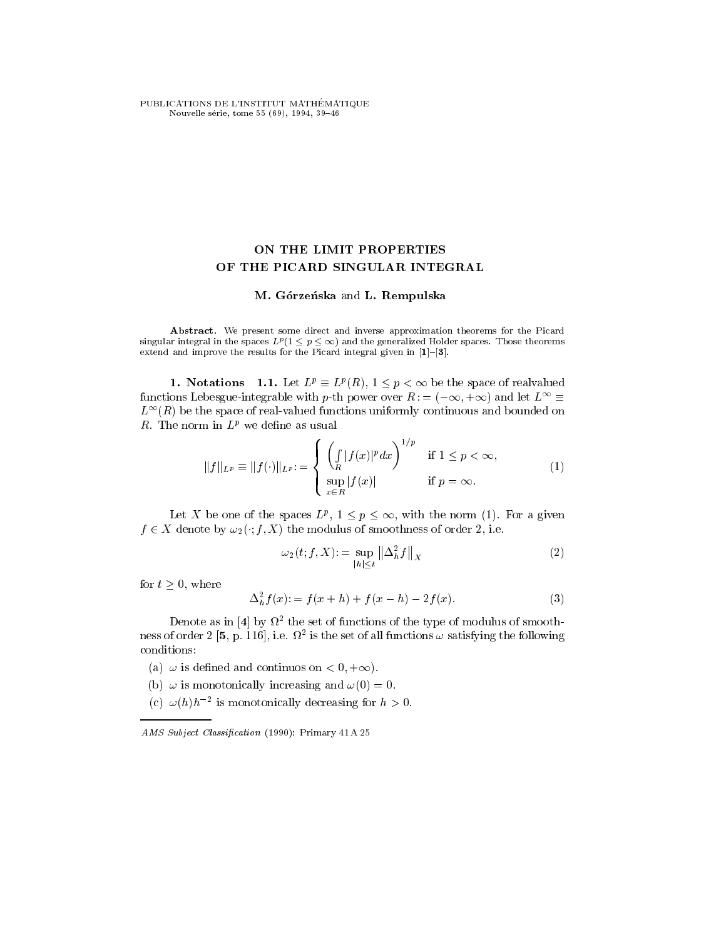PUBLICATIONS DE L'INSTITUT MATHÉMATIQUE Nouvelle série, tome 55 (69), 1994, 39-46

## ON THE LIMIT PROPERTIES OF THE PICARD SINGULAR INTEGRAL

## M. Górzeńska and L. Rempulska

Abstract. We present some direct and inverse approximation theorems for the Picard sing that integral in the spaces  $L^p$  (1  $\leq p \leq \infty$  ) and the generalized Holder spaces. Those theorems extend and improve the results for the Picard integral given in  $[1]-[3]$ .

**1.** INOTATIONS 1.1. Let  $L^p = L^p(R)$ ,  $1 \leq p \leq \infty$  be the space of realvalued functions Lebesgue-integrable with p-th power over  $R := (-\infty, +\infty)$  and let  $L_1 = 1$  $L^{\infty}(R)$  be the space of real-valued functions uniformly continuous and bounded on R. The norm in  $L^p$  we define as usual

$$
||f||_{L^p} \equiv ||f(\cdot)||_{L^p} = \begin{cases} \left(\int\limits_R |f(x)|^p dx\right)^{1/p} & \text{if } 1 \le p < \infty, \\ \sup\limits_{x \in R} |f(x)| & \text{if } p = \infty. \end{cases}
$$
(1)

Let  $\Lambda$  be one of the spaces  $L^p$ ,  $1 \leq p \leq \infty$ , with the norm (1). For a given  $f \in X$  denote by  $\omega_2(\cdot; f, X)$  the modulus of smoothness of order 2, i.e.

$$
\omega_2(t; f, X) := \sup_{|h| \le t} \left\| \Delta_h^2 f \right\|_X \tag{2}
$$

for  $t > 0$ , where

$$
\Delta_h^2 f(x) := f(x+h) + f(x-h) - 2f(x).
$$
 (3)

Denote as in  $[4]$  by  $\Omega$  , the set of functions of the type of modulus of smoothness of order  $Z$  [5, p. 116], i.e.  $M^+$  is the set of all functions  $\omega$  satisfying the following conditions:

(a)  $\omega$  is defined and continuos on  $\leq 0, \pm \infty$ ).

- (b)  $\omega$  is inonotomically increasing and  $\omega(0) = 0.$
- (c)  $\omega(n)n$  is monotonically decreasing for  $n > 0$ .

AMS Subject Classification (1990): Primary 41 A 25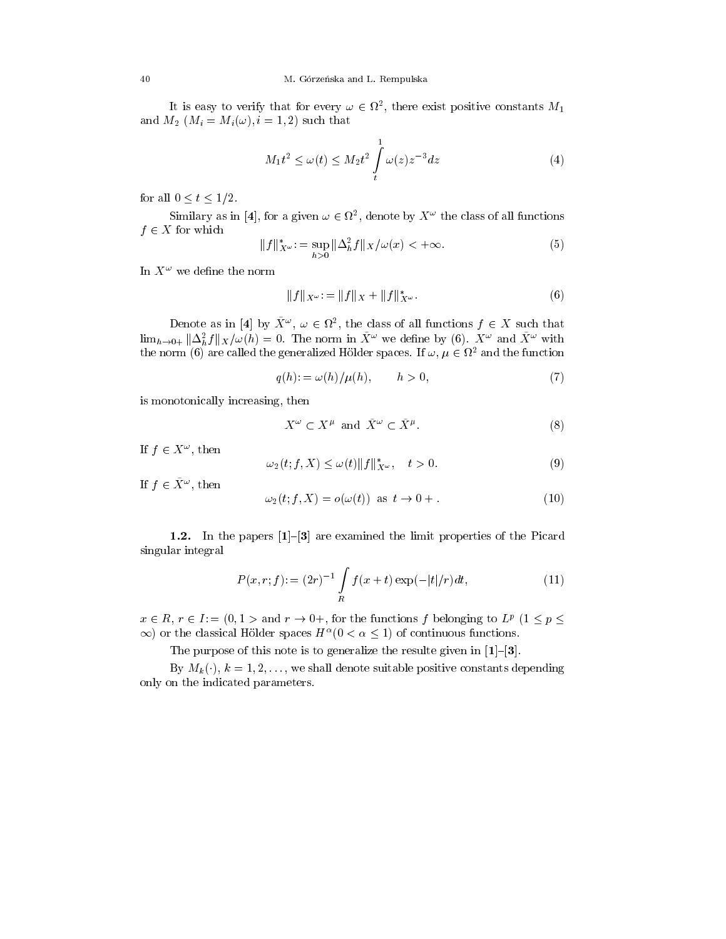It is easy to verify that for every  $\omega \in \Omega^*$ , there exist positive constants  $m_1$ and  $M_2$  ( $M_i = M_i(\omega)$ ,  $i = 1, 2$ ) such that

$$
M_1 t^2 \le \omega(t) \le M_2 t^2 \int\limits_t^1 \omega(z) z^{-3} dz \tag{4}
$$

for all  $0 \lt t \lt 1/2$ .

Similary as in [4], for a given  $\omega \in \Omega^+$ , denote by  $\Lambda^+$  the class of all functions  $f \in X$  for which

$$
||f||_{X^{\omega}}^{*} = \sup_{h>0} \|\Delta_{h}^{2} f\|_{X}/\omega(x) < +\infty.
$$
 (5)

In  $X^+$  we denne the norm

$$
||f||_{X^{\omega}} := ||f||_X + ||f||_{X^{\omega}}^*.
$$
\n(6)

Denote as in [4] by  $A^+, \omega \in M^-,$  the class of all functions  $\jmath \in A$  such that  $\lim_{h\to 0+} \|\Delta_h^{\pi} f\|_X/\omega(h) = 0$ . The norm in  $X^-$  we define by (6).  $X^-$  and  $X^-$  with the norm (6) are called the generalized Holder spaces. If  $\omega, \mu \in \Omega^+$  and the function

$$
q(h) := \omega(h) / \mu(h), \qquad h > 0,
$$
\n<sup>(7)</sup>

is monotonically increasing, then

$$
X^{\omega} \subset X^{\mu} \text{ and } \tilde{X}^{\omega} \subset \tilde{X}^{\mu}. \tag{8}
$$

 $\text{I\hspace{-.1em}I} \hspace{.1em} \mathrel{\mathcal{F}}\hspace{.1em} \mathrel{\mathcal{F}}\hspace{.1em} \mathrel{\mathcal{F}}\hspace{.1em} \mathrel{\mathcal{F}}\hspace{.1em} \mathrel{\mathcal{F}}\hspace{.1em} \mathrel{\mathcal{F}}\hspace{.1em} \mathrel{\mathcal{F}}\hspace{.1em} \mathrel{\mathcal{F}}\hspace{.1em} \mathrel{\mathcal{F}}\hspace{.1em} \mathrel{\mathcal{F}}\hspace{.1em} \mathrel{\mathcal{F}}\hspace{.1em} \mathrel{\mathcal{F}}\hs$ 

$$
\omega_2(t; f, X) \le \omega(t) \|f\|_{X^\omega}^*, \quad t > 0. \tag{9}
$$

 $\texttt{u}$   $\mid$   $\in$   $\Lambda$   $\degree$  , then

$$
\omega_2(t; f, X) = o(\omega(t)) \text{ as } t \to 0+.
$$
\n(10)

1.2. In the papers  $[1]-[3]$  are examined the limit properties of the Picard singular integral

$$
P(x, r; f) = (2r)^{-1} \int\limits_R f(x+t) \exp(-|t|/r) dt,
$$
\n(11)

 $x \in R$ ,  $r \in I$ :  $=$   $(0, 1 \geq$  and  $r \to 0+$ , for the functions f belonging to  $L^p$  ( $1 \leq p \leq$  $\infty$ ) or the classical Holder spaces  $H^-(0 \leq \alpha \leq 1)$  of continuous functions.

The purpose of this note is to generalize the resulte given in  $[1]-[3]$ .

 $B$ y  $m_k$ ( $\,$ ),  $\kappa = 1, 2, \ldots, \,$  we shall defible suitable positive constants depending only on the indicated parameters.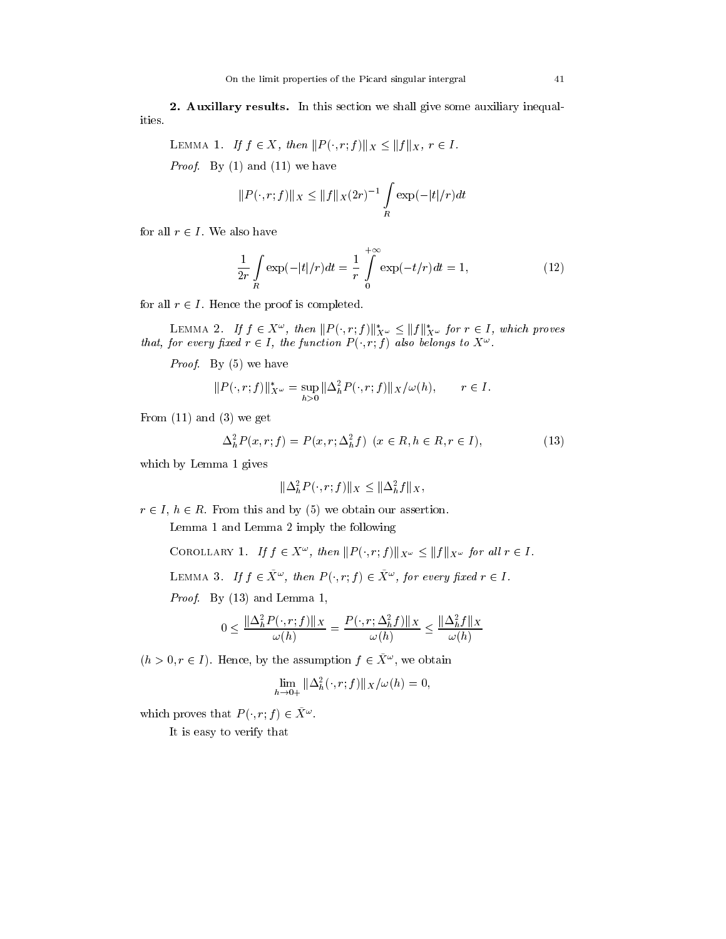2. Auxillary results. In this section we shall give some auxiliary inequalities.

LEMMA 1. If 
$$
f \in X
$$
, then  $||P(\cdot, r; f)||_X \leq ||f||_X$ ,  $r \in I$ .

 $P_{\text{P}}$  Prioring and (11) we have

$$
||P(\cdot, r; f)||_{X} \le ||f||_{X}(2r)^{-1} \int_{R} \exp(-|t|/r) dt
$$

for all  $t \in I$  , we also have

$$
\frac{1}{2r} \int\limits_R \exp(-|t|/r)dt = \frac{1}{r} \int\limits_0^{+\infty} \exp(-t/r)dt = 1,
$$
 (12)

for all r <sup>2</sup> I . Hence the proof is completed.

LEMMA 2. If  $f \in A^-,$  then  $||P(\cdot, r; f)||_{X_\infty} \leq ||f||_{X_\infty}$  for  $r \in I$ , which proves that, for every fixed  $r \in I$ , the function  $P$  (, r, f) also belongs to  $\Lambda$ 

 $P_{\text{F}}$   $P_{\text{F}}$   $P_{\text{F}}$  (5) we have

$$
||P(\cdot, r; f)||_{X^{\omega}}^* = \sup_{h>0} ||\Delta_h^2 P(\cdot, r; f)||_X / \omega(h), \qquad r \in I.
$$

From  $(11)$  and  $(3)$  we get

$$
\Delta_h^2 P(x, r; f) = P(x, r; \Delta_h^2 f) \quad (x \in R, h \in R, r \in I), \tag{13}
$$

which by Lemma 1 gives

$$
\|\Delta_h^2 P(\cdot, r; f)\|_X \le \|\Delta_h^2 f\|_X,
$$

 $r \in I$ ,  $h \in R$ . From this and by (5) we obtain our assertion.

Lemma 1 and Lemma 2 imply the following

COROLLARY 1. If  $f \in X^{\pi}$ , then  $||P(\cdot, r; f)||_{X^{\omega}} \leq ||f||_{X^{\omega}}$  for all  $r \in I$ .

LEMMA 3. If  $f \in A$ , then  $F(T, T, f) \in A$ , for every fixed  $T \in T$ .

Proof. By (13) and Lemma 1,

$$
0 \le \frac{\|\Delta_h^2 P(\cdot, r; f)\|_X}{\omega(h)} = \frac{P(\cdot, r; \Delta_h^2 f)\|_X}{\omega(h)} \le \frac{\|\Delta_h^2 f\|_X}{\omega(h)}
$$

 $(n > 0, r \in I)$ . Hence, by the assumption  $f \in A^+$ , we obtain

$$
\lim_{h\to 0+} \|\Delta_h^2(\cdot,r;f)\|_X/\omega(h)=0,
$$

which proves that  $P(\cdot, r; f) \in \Lambda$ 

It is easy to verify that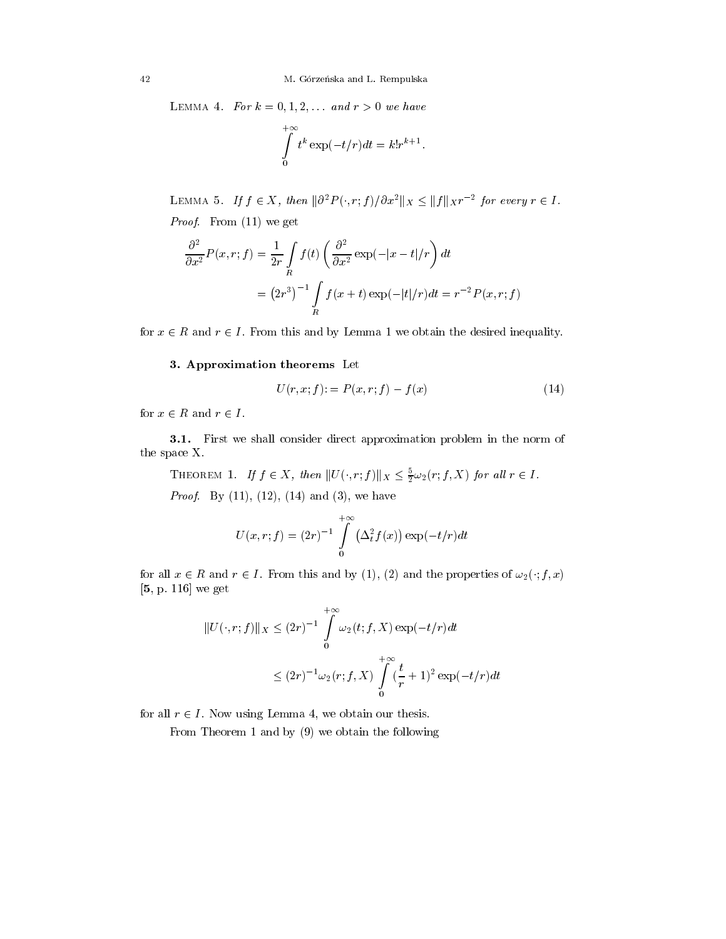LEMMA 4. For  $k = 0, 1, 2, \ldots$  and  $r > 0$  we have

$$
\int\limits_{0}^{+\infty}t^k\exp(-t/r)dt=k!r^{k+1}.
$$

LEMMA 5. If  $f \in A$ , then  $\|0 \mid F(\cdot, r; f)/\sigma x\|$   $\|X \leq \|f\|$   $\|X^r$  for every  $r \in I$ . *From* (11) we get

$$
\frac{\partial^2}{\partial x^2} P(x, r; f) = \frac{1}{2r} \int_R f(t) \left( \frac{\partial^2}{\partial x^2} \exp(-|x - t|/r) \right) dt
$$

$$
= (2r^3)^{-1} \int_R f(x + t) \exp(-|t|/r) dt = r^{-2} P(x, r; f)
$$

for  $x \in R$  and  $r \in T$  . From this and by Lemma 1 we obtain the desired inequality.

## 3. Approximation theorems Let

$$
U(r, x; f) = P(x, r; f) - f(x)
$$
\n(14)

for x <sup>2</sup> R and r<sup>2</sup> I .

3.1. First we shall consider direct approximation problem in the norm of the space X.

THEOREM 1. If  $J \in \Lambda$ , then  $||U(\cdot, r; J)||_X \leq \frac{1}{2}\omega_2(r; J, \Lambda)$  for all  $r \in I$ .

 $P_{\rm F}$  Proof. By (11), (12), (14) and (3), we have

$$
U(x,r;f) = (2r)^{-1} \int\limits_{0}^{+\infty} (\Delta_t^2 f(x)) \exp(-t/r) dt
$$

for all  $x \in R$  and  $r \in T$ . From this and by (1), (2) and the properties of  $\omega_2(\cdot, f, x)$ [5, p. 116] we get

$$
||U(\cdot, r; f)||_X \le (2r)^{-1} \int_0^{+\infty} \omega_2(t; f, X) \exp(-t/r) dt
$$
  

$$
\le (2r)^{-1} \omega_2(r; f, X) \int_0^{+\infty} (\frac{t}{r} + 1)^2 \exp(-t/r) dt
$$

for all  $r \in I$  . Now using Lemma 4, we obtain our thesis.

From Theorem 1 and by (9) we obtain the following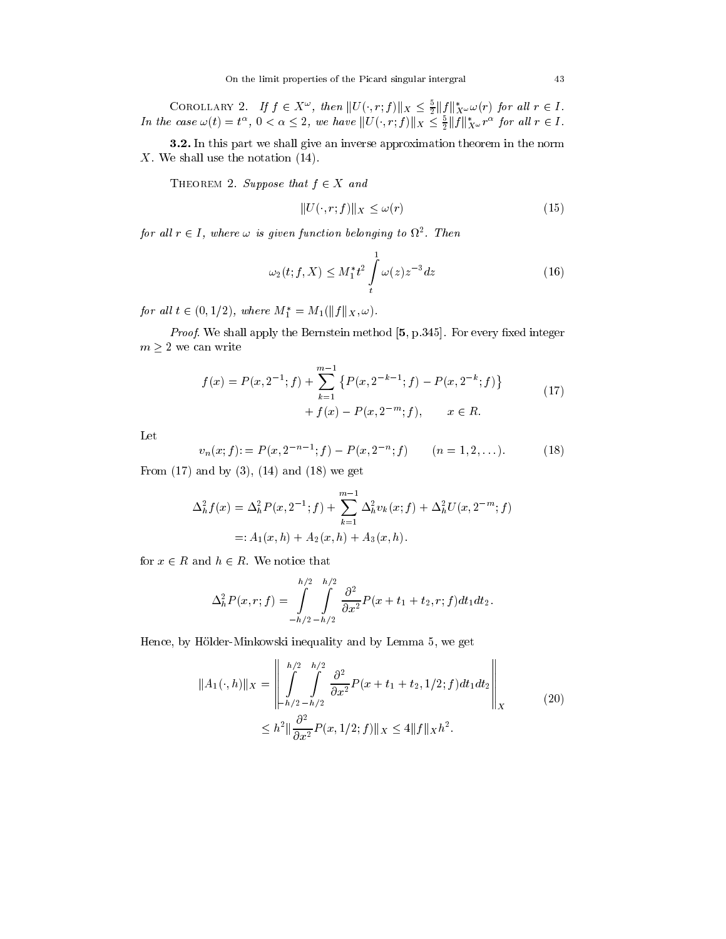COROLLARY 2. If  $f \in X^*$ , then  $||U(\cdot, r; J)||_X \leq \frac{1}{2}||J||_{X^{\omega}}\omega(r)$  for all  $r \in I$ . In the case  $\omega(t) = t^{-}$ ,  $0 < \alpha \leq 2$ , we have  $||U(\cdot, r; J)||_X \leq \frac{1}{2}||J||_X \omega r^{-}$  for all  $r \in I$ .

3.2. In this part we shall give an inverse approximation theorem in the norm X. We shall use the notation (14).

THEOREM 2. Suppose that  $f \in X$  and

$$
||U(\cdot, r; f)||_X \le \omega(r) \tag{15}
$$

for an  $r \in I$ , where  $\omega$  is given function belonging to  $\omega$ . Then

$$
\omega_2(t; f, X) \le M_1^* t^2 \int\limits_t^1 \omega(z) z^{-3} dz \tag{16}
$$

for an  $i \in (0, 1/2)$ , where  $M_1 = M_1(\|f\|_X, \omega)$ .

Proof. We shall apply the Bernstein method [5, p.345]. For every xed integer  $m \geq 2$  we can write

$$
f(x) = P(x, 2^{-1}; f) + \sum_{k=1}^{m-1} \{ P(x, 2^{-k-1}; f) - P(x, 2^{-k}; f) \}
$$
  
+  $f(x) - P(x, 2^{-m}; f), \qquad x \in R.$  (17)

 $\mathcal{A}$ 

Let

$$
v_n(x; f) = P(x, 2^{-n-1}; f) - P(x, 2^{-n}; f) \qquad (n = 1, 2, ...). \tag{18}
$$

From  $(17)$  and by  $(3)$ ,  $(14)$  and  $(18)$  we get

$$
\Delta_h^2 f(x) = \Delta_h^2 P(x, 2^{-1}; f) + \sum_{k=1}^{m-1} \Delta_h^2 v_k(x; f) + \Delta_h^2 U(x, 2^{-m}; f)
$$
  
=:  $A_1(x, h) + A_2(x, h) + A_3(x, h)$ .

for  $x \in R$  and  $n \in R$ . We notice that

$$
\Delta_h^2 P(x, r; f) = \int_{-h/2}^{h/2} \int_{-h/2}^{h/2} \frac{\partial^2}{\partial x^2} P(x + t_1 + t_2, r; f) dt_1 dt_2.
$$

Hence, by Hölder-Minkowski inequality and by Lemma 5, we get

$$
||A_1(\cdot,h)||_X = \left\| \int_{-h/2}^{h/2} \int_{-h/2}^{h/2} \frac{\partial^2}{\partial x^2} P(x+t_1+t_2, 1/2; f) dt_1 dt_2 \right\|_X
$$
  

$$
\leq h^2 ||\frac{\partial^2}{\partial x^2} P(x, 1/2; f) ||_X \leq 4 ||f||_X h^2.
$$
 (20)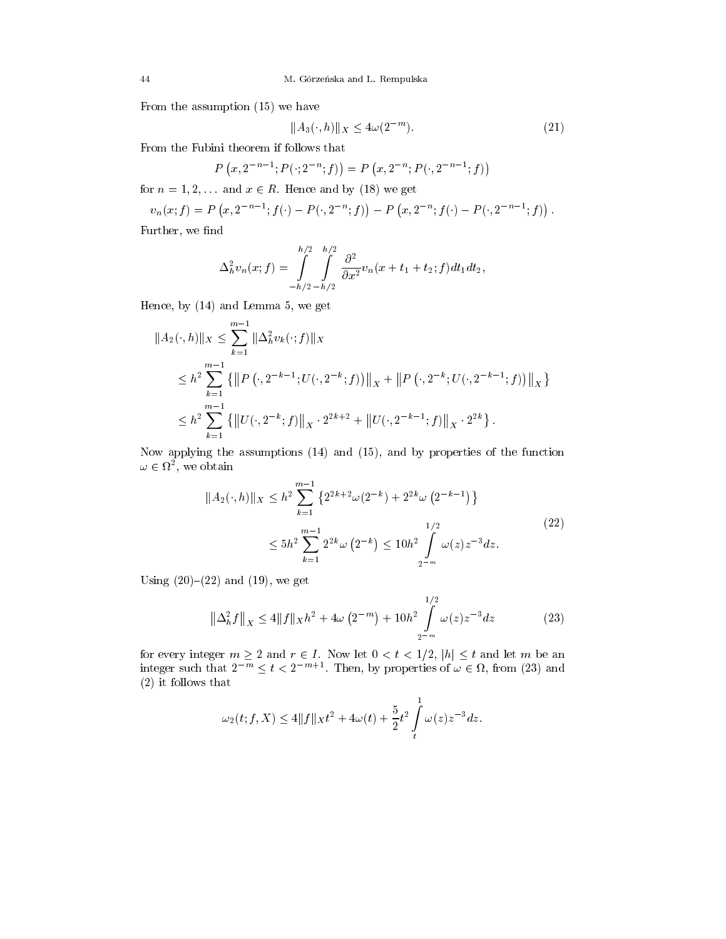From the assumption (15) we have

$$
||A_3(\cdot, h)||_X \le 4\omega(2^{-m}).\tag{21}
$$

From the Fubini theorem if follows that

$$
P(x, 2^{-n-1}; P(\cdot; 2^{-n}; f)) = P(x, 2^{-n}; P(\cdot, 2^{-n-1}; f))
$$

for  $n = 1, 2, \ldots$  and  $x \in R$ . Hence and by (18) we get

$$
v_n(x; f) = P(x, 2^{-n-1}; f(\cdot) - P(\cdot, 2^{-n}; f)) - P(x, 2^{-n}; f(\cdot) - P(\cdot, 2^{-n-1}; f)).
$$

Further, we find

$$
\Delta_h^2 v_n(x; f) = \int_{-h/2}^{h/2} \int_{-h/2}^{h/2} \frac{\partial^2}{\partial x^2} v_n(x + t_1 + t_2; f) dt_1 dt_2,
$$

Hence, by (14) and Lemma 5, we get

$$
||A_2(\cdot,h)||_X \le \sum_{k=1}^{m-1} ||\Delta_h^2 v_k(\cdot;f)||_X
$$
  
\n
$$
\le h^2 \sum_{k=1}^{m-1} \left\{ ||P((\cdot, 2^{-k-1}; U(\cdot, 2^{-k}; f))||_X + ||P((\cdot, 2^{-k}; U(\cdot, 2^{-k-1}; f))||_X \right\}
$$
  
\n
$$
\le h^2 \sum_{k=1}^{m-1} \left\{ ||U(\cdot, 2^{-k}; f)||_X \cdot 2^{2k+2} + ||U(\cdot, 2^{-k-1}; f)||_X \cdot 2^{2k} \right\}.
$$

Now applying the assumptions (14) and (15), and by properties of the function  $\omega \in$   $\iota\iota$ , we obtain

$$
||A_2(\cdot, h)||_X \le h^2 \sum_{k=1}^{m-1} \left\{ 2^{2k+2} \omega(2^{-k}) + 2^{2k} \omega(2^{-k-1}) \right\}
$$
  

$$
\le 5h^2 \sum_{k=1}^{m-1} 2^{2k} \omega(2^{-k}) \le 10h^2 \int_{2^{-m}}^{1/2} \omega(z) z^{-3} dz.
$$
 (22)

Using  $(20)-(22)$  and  $(19)$ , we get

$$
\left\|\Delta_h^2 f\right\|_X \le 4\|f\|_X h^2 + 4\omega \left(2^{-m}\right) + 10h^2 \int\limits_{2^{-m}}^{1/2} \omega(z) z^{-3} dz \tag{23}
$$

for every integer  $m \geq 2$  and  $t \in I$ . Now let  $0 \leq t \leq 1/2$ ,  $m \geq t$  and let  $m$  be an integer such that  $2 \leq t \leq 2$  inen, by properties of  $\omega \in u$ , from (23) and (2) it follows that

$$
\omega_2(t;f,X) \le 4||f||_X t^2 + 4\omega(t) + \frac{5}{2}t^2 \int\limits_t^1 \omega(z) z^{-3} dz.
$$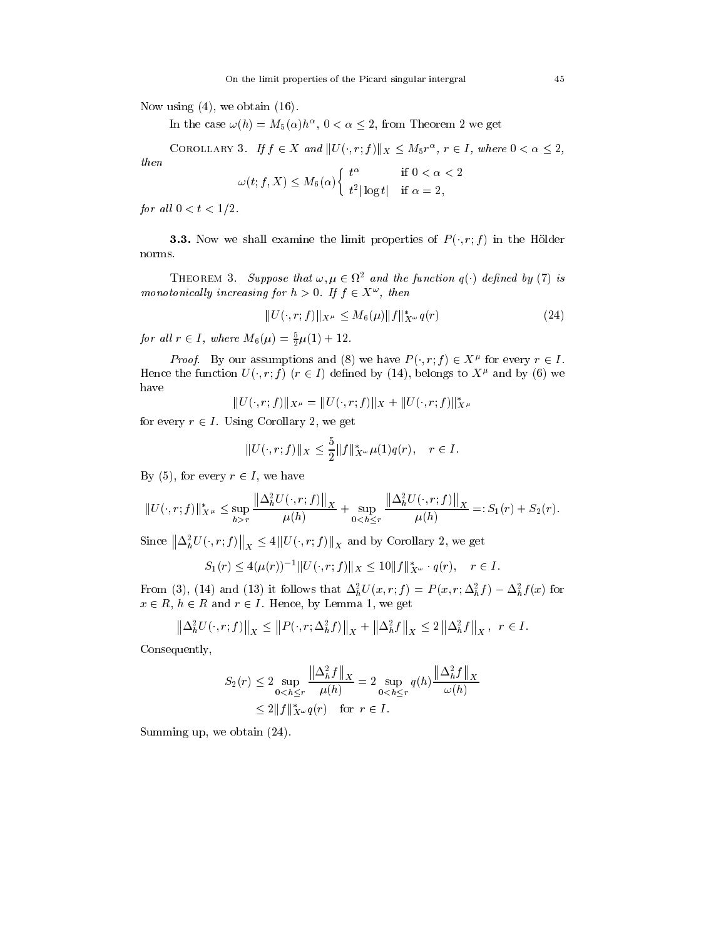Now using  $(4)$ , we obtain  $(16)$ .

In the case  $\omega(n) = M_5(\alpha)n$ ,  $0 < \alpha \leq 2$ , from Theorem 2 we get

COROLLARY 3. If  $J \in \Lambda$  and  $||U(\cdot, T; J)||_X \leq M_5T^{\sim}$ ,  $T \in I$ , where  $0 \leq \alpha \leq 2$ ,

then

$$
\omega(t; f, X) \le M_6(\alpha) \begin{cases} t^{\alpha} & \text{if } 0 < \alpha < 2\\ t^2 |\log t| & \text{if } \alpha = 2, \end{cases}
$$

for an  $0 \leq t \leq 1/2$ .

**3.3.** Now we shall examine the limit properties of  $P(\cdot, r; f)$  in the Hölder norms.

**THEOREM 3.** Suppose that  $\omega, \mu \in \Omega$  and the function  $q(\cdot)$  defined by (1) is monotonicatly increasing for  $n > 0$ . If  $f \in A$ , then

$$
||U(\cdot, r; f)||_{X^{\mu}} \le M_6(\mu) ||f||_{X^{\omega}}^* q(r) \tag{24}
$$

for all  $r \in I$ , where  $M_6(\mu) = \frac{1}{2}\mu(1) + 12$ .

*Proof.* By our assumptions and (8) we have  $P(\cdot, T; f) \in \Lambda^r$  for every  $r \in I$ . Hence the function  $U(\cdot, T; f)$  ( $T \in I$ ) defined by (14), belongs to  $\Lambda^F$  and by (6) we have

$$
||U(\cdot,r;f)||_{X^\mu}=||U(\cdot,r;f)||_X+||U(\cdot,r;f)||^*_{X^\mu}
$$

for every  $r \in I$  . Using Corollary 2, we get

$$
||U(\cdot, r; f)||_X \le \frac{5}{2} ||f||_{X^\omega}^* \mu(1) q(r), \quad r \in I.
$$

Dy (5), for every  $r \in I$ , we have

$$
||U(\cdot,r;f)||_{X^{\mu}}^{*} \leq \sup_{h>r} \frac{||\Delta_{h}^{2}U(\cdot,r;f)||_{X}}{\mu(h)} + \sup_{0
$$

Since  $\left\|\Delta_h^2 U(\cdot,r;f)\right\|_X \leq 4 \left\|U(\cdot,r;f)\right\|_X$  and by Corollary 2, we get

$$
S_1(r) \le 4(\mu(r))^{-1} ||U(\cdot, r; f)||_X \le 10||f||^*_{X^\omega} \cdot q(r), \quad r \in I.
$$

From (5), (14) and (15) it follows that  $\Delta_h^{\pi}U(x,r;J) = F(x,r;\Delta_h^{\pi}J) - \Delta_h^{\pi}J(x)$  for  $x \in R$ ,  $h \in R$  and  $r \in I$ . Hence, by Lemma 1, we get

$$
\left\|\Delta_h^2 U(\cdot, r; f)\right\|_X \leq \left\|P(\cdot, r; \Delta_h^2 f)\right\|_X + \left\|\Delta_h^2 f\right\|_X \leq 2 \left\|\Delta_h^2 f\right\|_X, \ r \in I.
$$

Consequently,

$$
S_2(r) \le 2 \sup_{0 < h \le r} \frac{\|\Delta_h^2 f\|_X}{\mu(h)} = 2 \sup_{0 < h \le r} q(h) \frac{\|\Delta_h^2 f\|_X}{\omega(h)} \le 2 \|f\|_{X^\omega}^* q(r) \quad \text{for } r \in I.
$$

Summing up, we obtain (24).